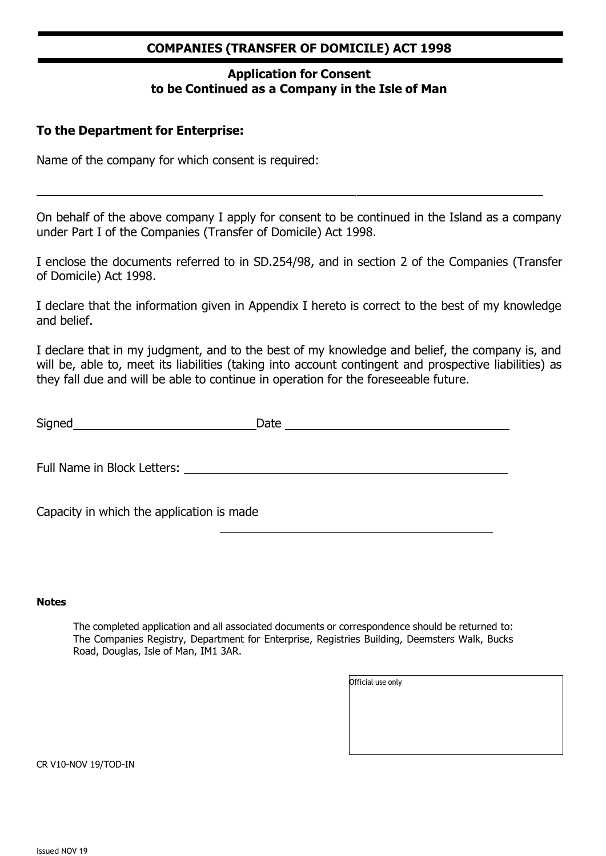#### **COMPANIES (TRANSFER OF DOMICILE) ACT 1998**

### **Application for Consent to be Continued as a Company in the Isle of Man**

#### **To the Department for Enterprise:**

Name of the company for which consent is required:

On behalf of the above company I apply for consent to be continued in the Island as a company under Part I of the Companies (Transfer of Domicile) Act 1998.

I enclose the documents referred to in SD.254/98, and in section 2 of the Companies (Transfer of Domicile) Act 1998.

I declare that the information given in Appendix I hereto is correct to the best of my knowledge and belief.

I declare that in my judgment, and to the best of my knowledge and belief, the company is, and will be, able to, meet its liabilities (taking into account contingent and prospective liabilities) as they fall due and will be able to continue in operation for the foreseeable future.

| Signed |  |
|--------|--|
|        |  |

Full Name in Block Letters:

Capacity in which the application is made

#### **Notes**

The completed application and all associated documents or correspondence should be returned to: The Companies Registry, Department for Enterprise, Registries Building, Deemsters Walk, Bucks Road, Douglas, Isle of Man, IM1 3AR.

| Official use only |  |  |  |
|-------------------|--|--|--|
|                   |  |  |  |
|                   |  |  |  |
|                   |  |  |  |
|                   |  |  |  |

CR V10-NOV 19/TOD-IN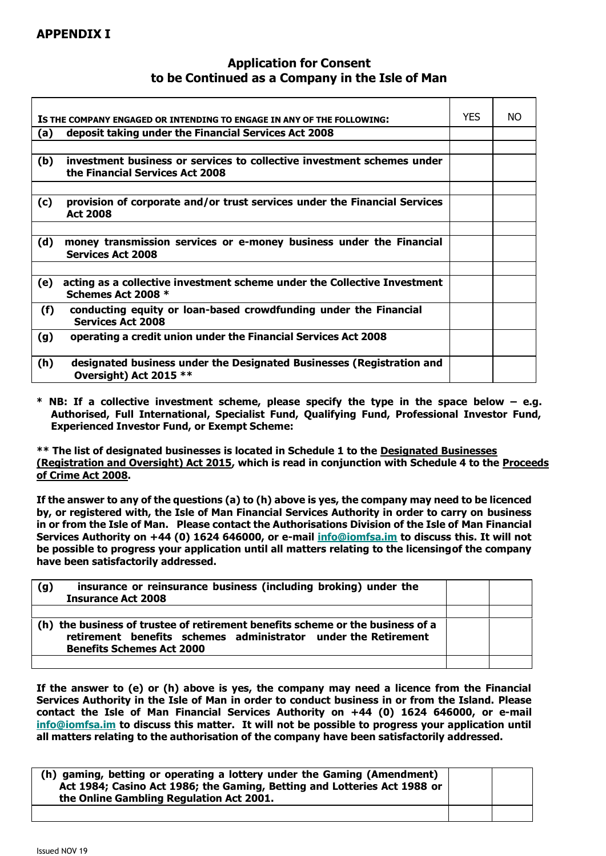#### **APPENDIX I**

П

#### **Application for Consent to be Continued as a Company in the Isle of Man**

─

|     | IS THE COMPANY ENGAGED OR INTENDING TO ENGAGE IN ANY OF THE FOLLOWING:                                    | <b>YES</b> | NO. |
|-----|-----------------------------------------------------------------------------------------------------------|------------|-----|
| (a) | deposit taking under the Financial Services Act 2008                                                      |            |     |
|     |                                                                                                           |            |     |
| (b) | investment business or services to collective investment schemes under<br>the Financial Services Act 2008 |            |     |
|     |                                                                                                           |            |     |
| (c) | provision of corporate and/or trust services under the Financial Services<br><b>Act 2008</b>              |            |     |
|     |                                                                                                           |            |     |
| (d) | money transmission services or e-money business under the Financial<br><b>Services Act 2008</b>           |            |     |
|     |                                                                                                           |            |     |
| (e) | acting as a collective investment scheme under the Collective Investment<br>Schemes Act 2008 *            |            |     |
| (f) | conducting equity or loan-based crowdfunding under the Financial<br><b>Services Act 2008</b>              |            |     |
| (g) | operating a credit union under the Financial Services Act 2008                                            |            |     |
| (h) | designated business under the Designated Businesses (Registration and<br>Oversight) Act 2015 **           |            |     |

**\* NB: If a collective investment scheme, please specify the type in the space below – e.g. Authorised, Full International, Specialist Fund, Qualifying Fund, Professional Investor Fund, Experienced Investor Fund, or Exempt Scheme:**

**\*\* The list of designated businesses is located in Schedule 1 to the [Designated Businesses](https://www.legislation.gov.im/cms/images/LEGISLATION/PRINCIPAL/2015/2015-0009/DesignatedBusinessesRegistrationandOversightAct2015_4.pdf) [\(Registration and Oversight\) Act 2015,](https://www.legislation.gov.im/cms/images/LEGISLATION/PRINCIPAL/2015/2015-0009/DesignatedBusinessesRegistrationandOversightAct2015_4.pdf) which is read in conjunction with Schedule 4 to the [Proceeds](https://www.legislation.gov.im/cms/images/LEGISLATION/PRINCIPAL/2008/2008-0013/ProceedsofCrimeAct2008_13.pdf) of [Crime](https://www.legislation.gov.im/cms/images/LEGISLATION/PRINCIPAL/2008/2008-0013/ProceedsofCrimeAct2008_13.pdf) Act 2008.**

**If the answer to any of the questions (a) to (h) above is yes, the company may need to be licenced by, or registered with, the Isle of Man Financial Services Authority in order to carry on business in or from the Isle of Man. Please contact the Authorisations Division of the Isle of Man Financial Services Authority on +44 (0) 1624 646000, or e-mail [info@iomfsa.im](mailto:info@iomfsa.im) to discuss this. It will not be possible to progress your application until all matters relating to the licensingof the company have been satisfactorily addressed.**

| insurance or reinsurance business (including broking) under the<br>(g)<br><b>Insurance Act 2008</b>                                              |  |
|--------------------------------------------------------------------------------------------------------------------------------------------------|--|
|                                                                                                                                                  |  |
| (h) the business of trustee of retirement benefits scheme or the business of a<br>retirement benefits schemes administrator under the Retirement |  |
| <b>Benefits Schemes Act 2000</b>                                                                                                                 |  |
|                                                                                                                                                  |  |

**If the answer to (e) or (h) above is yes, the company may need a licence from the Financial Services Authority in the Isle of Man in order to conduct business in or from the Island. Please contact the Isle of Man Financial Services Authority on +44 (0) 1624 646000, or e-mail [info@iomfsa.im](mailto:info@iomfsa.im) to discuss this matter. It will not be possible to progress your application until all matters relating to the authorisation of the company have been satisfactorily addressed.**

| (h) gaming, betting or operating a lottery under the Gaming (Amendment)<br>Act 1984; Casino Act 1986; the Gaming, Betting and Lotteries Act 1988 or<br>the Online Gambling Regulation Act 2001. |  |  |
|-------------------------------------------------------------------------------------------------------------------------------------------------------------------------------------------------|--|--|
|                                                                                                                                                                                                 |  |  |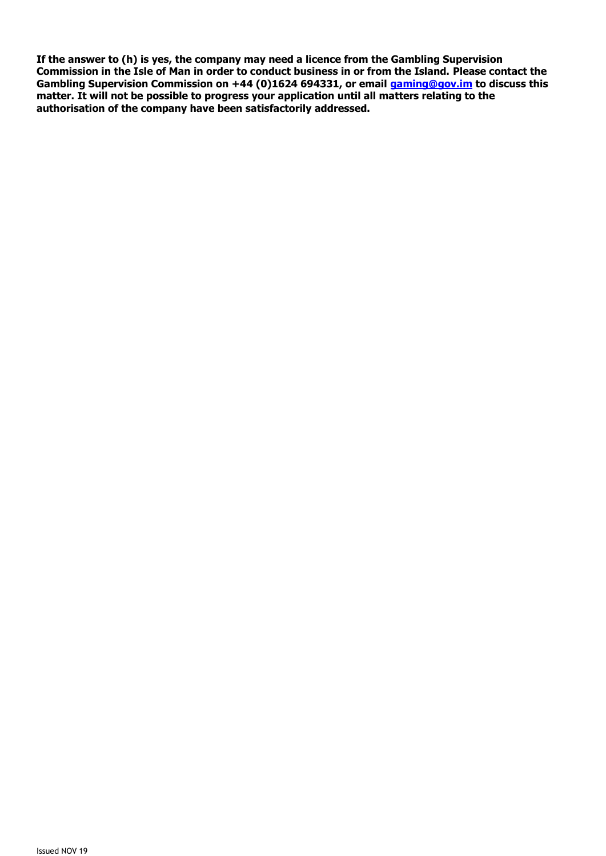**If the answer to (h) is yes, the company may need a licence from the Gambling Supervision Commission in the Isle of Man in order to conduct business in or from the Island. Please contact the Gambling Supervision Commission on +44 (0)1624 694331, or email [gaming@gov.im](mailto:gaming@gov.im) to discuss this matter. It will not be possible to progress your application until all matters relating to the authorisation of the company have been satisfactorily addressed.**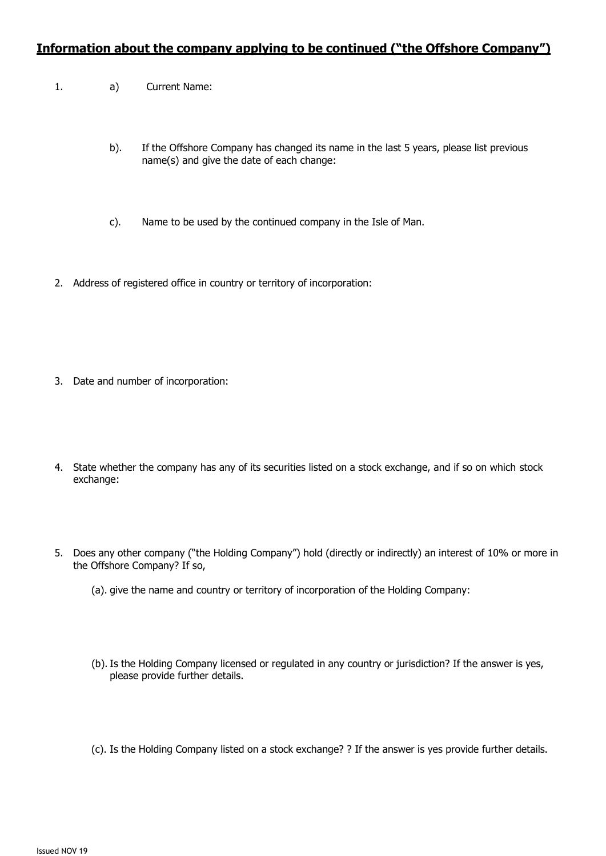#### **Information about the company applying to be continued ("the Offshore Company")**

- 1. a) Current Name:
	- b). If the Offshore Company has changed its name in the last 5 years, please list previous name(s) and give the date of each change:
	- c). Name to be used by the continued company in the Isle of Man.
- 2. Address of registered office in country or territory of incorporation:

- 3. Date and number of incorporation:
- 4. State whether the company has any of its securities listed on a stock exchange, and if so on which stock exchange:
- 5. Does any other company ("the Holding Company") hold (directly or indirectly) an interest of 10% or more in the Offshore Company? If so,
	- (a). give the name and country or territory of incorporation of the Holding Company:
	- (b). Is the Holding Company licensed or regulated in any country or jurisdiction? If the answer is yes, please provide further details.
	- (c). Is the Holding Company listed on a stock exchange? ? If the answer is yes provide further details.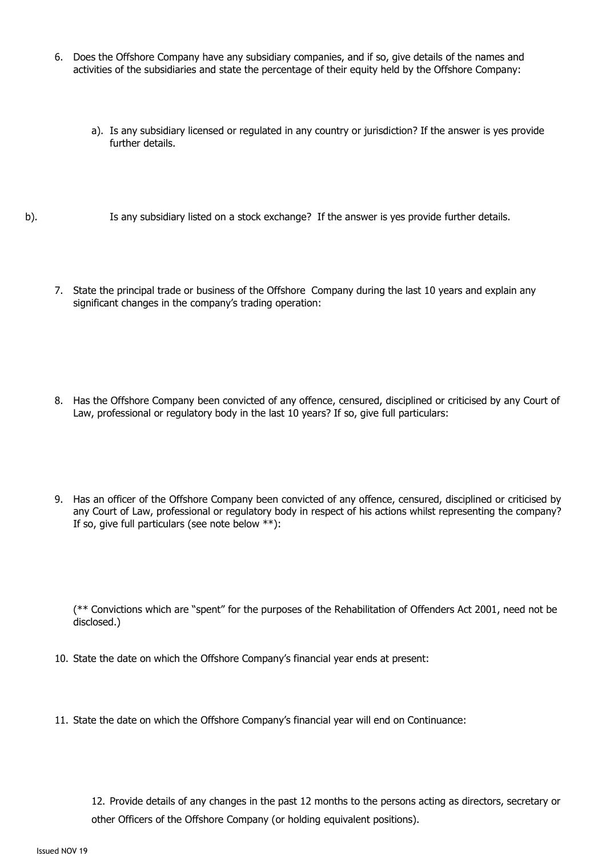- 6. Does the Offshore Company have any subsidiary companies, and if so, give details of the names and activities of the subsidiaries and state the percentage of their equity held by the Offshore Company:
	- a). Is any subsidiary licensed or regulated in any country or jurisdiction? If the answer is yes provide further details.
- b). Is any subsidiary listed on a stock exchange? If the answer is yes provide further details.
	- 7. State the principal trade or business of the Offshore Company during the last 10 years and explain any significant changes in the company's trading operation:

- 8. Has the Offshore Company been convicted of any offence, censured, disciplined or criticised by any Court of Law, professional or regulatory body in the last 10 years? If so, give full particulars:
- 9. Has an officer of the Offshore Company been convicted of any offence, censured, disciplined or criticised by any Court of Law, professional or regulatory body in respect of his actions whilst representing the company? If so, give full particulars (see note below \*\*):

(\*\* Convictions which are "spent" for the purposes of the Rehabilitation of Offenders Act 2001, need not be disclosed.)

- 10. State the date on which the Offshore Company's financial year ends at present:
- 11. State the date on which the Offshore Company's financial year will end on Continuance:

12. Provide details of any changes in the past 12 months to the persons acting as directors, secretary or other Officers of the Offshore Company (or holding equivalent positions).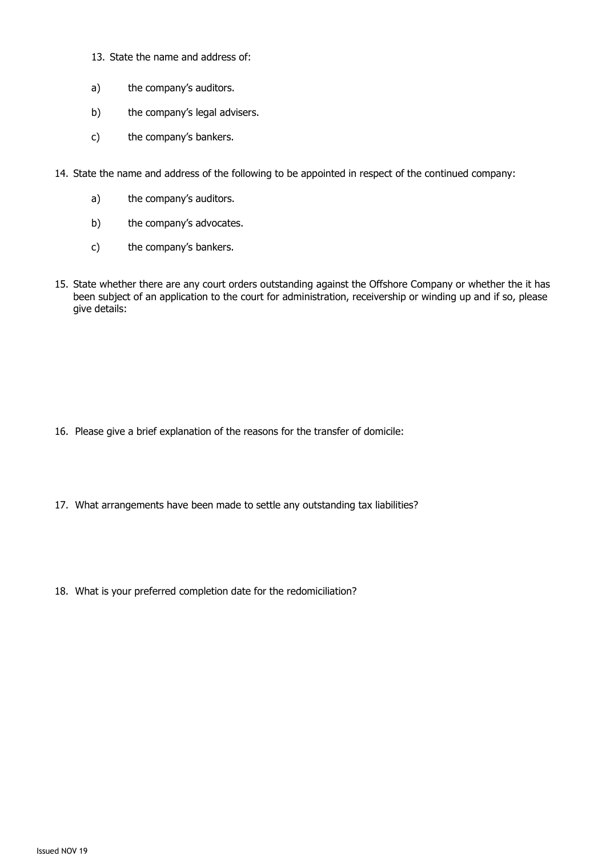- 13. State the name and address of:
- a) the company's auditors.
- b) the company's legal advisers.
- c) the company's bankers.
- 14. State the name and address of the following to be appointed in respect of the continued company:
	- a) the company's auditors.
	- b) the company's advocates.
	- c) the company's bankers.
- 15. State whether there are any court orders outstanding against the Offshore Company or whether the it has been subject of an application to the court for administration, receivership or winding up and if so, please give details:

- 16. Please give a brief explanation of the reasons for the transfer of domicile:
- 17. What arrangements have been made to settle any outstanding tax liabilities?
- 18. What is your preferred completion date for the redomiciliation?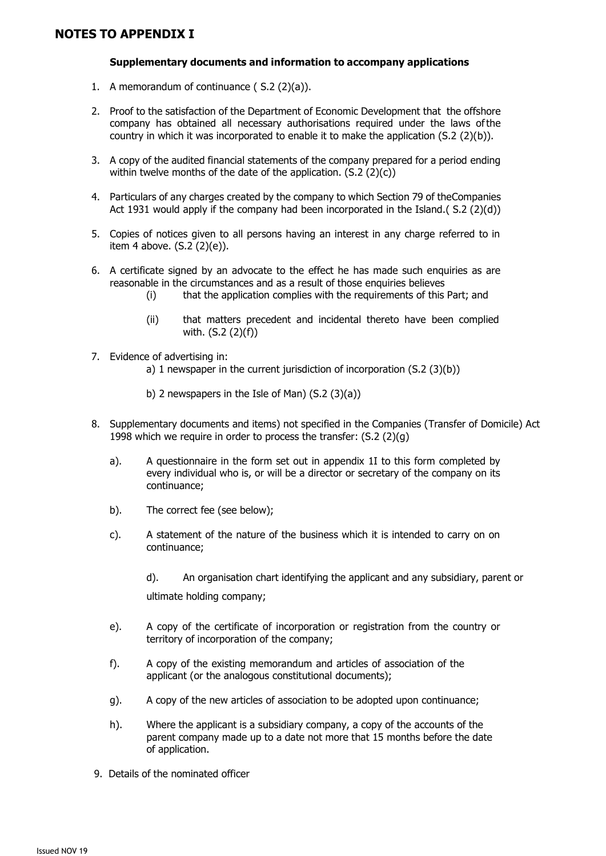#### **Supplementary documents and information to accompany applications**

- 1. A memorandum of continuance ( S.2 (2)(a)).
- 2. Proof to the satisfaction of the Department of Economic Development that the offshore company has obtained all necessary authorisations required under the laws ofthe country in which it was incorporated to enable it to make the application  $(S.2 (2)(b))$ .
- 3. A copy of the audited financial statements of the company prepared for a period ending within twelve months of the date of the application. (S.2 (2)(c))
- 4. Particulars of any charges created by the company to which Section 79 of theCompanies Act 1931 would apply if the company had been incorporated in the Island.( $S.2(2)(d)$ )
- 5. Copies of notices given to all persons having an interest in any charge referred to in item 4 above. (S.2 (2)(e)).
- 6. A certificate signed by an advocate to the effect he has made such enquiries as are reasonable in the circumstances and as a result of those enquiries believes
	- (i) that the application complies with the requirements of this Part; and
	- (ii) that matters precedent and incidental thereto have been complied with. (S.2 (2)(f))
- 7. Evidence of advertising in:
	- a) 1 newspaper in the current jurisdiction of incorporation (S.2 (3)(b))
	- b) 2 newspapers in the Isle of Man) (S.2 (3)(a))
- 8. Supplementary documents and items) not specified in the Companies (Transfer of Domicile) Act 1998 which we require in order to process the transfer: (S.2 (2)(g)
	- a). A questionnaire in the form set out in appendix 1I to this form completed by every individual who is, or will be a director or secretary of the company on its continuance;
	- b). The correct fee (see below);
	- c). A statement of the nature of the business which it is intended to carry on on continuance;

d). An organisation chart identifying the applicant and any subsidiary, parent or ultimate holding company;

- e). A copy of the certificate of incorporation or registration from the country or territory of incorporation of the company;
- f). A copy of the existing memorandum and articles of association of the applicant (or the analogous constitutional documents);
- g). A copy of the new articles of association to be adopted upon continuance;
- h). Where the applicant is a subsidiary company, a copy of the accounts of the parent company made up to a date not more that 15 months before the date of application.
- 9. Details of the nominated officer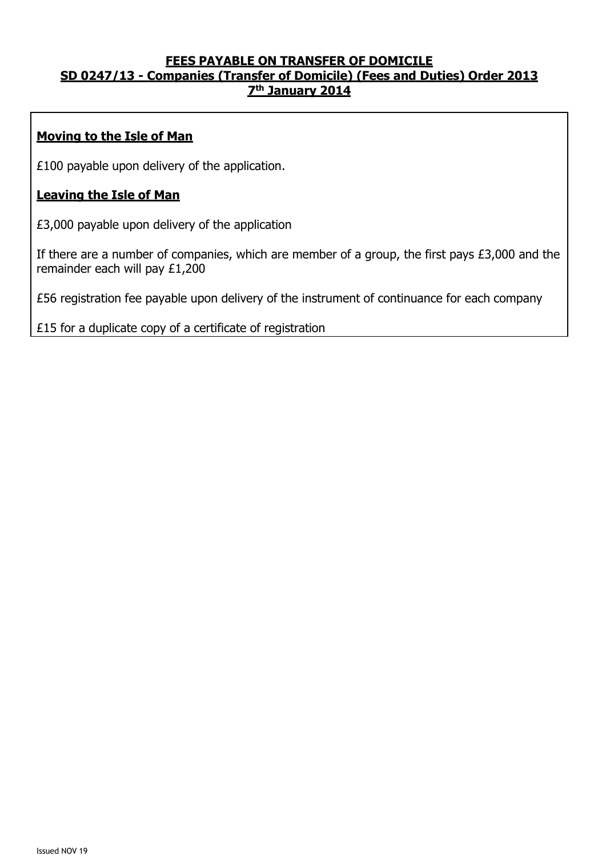#### **FEES PAYABLE ON TRANSFER OF DOMICILE SD 0247/13 - Companies (Transfer of Domicile) (Fees and Duties) Order 2013 7 th January 2014**

## **Moving to the Isle of Man**

£100 payable upon delivery of the application.

#### **Leaving the Isle of Man**

£3,000 payable upon delivery of the application

If there are a number of companies, which are member of a group, the first pays £3,000 and the remainder each will pay £1,200

£56 registration fee payable upon delivery of the instrument of continuance for each company

£15 for a duplicate copy of a certificate of registration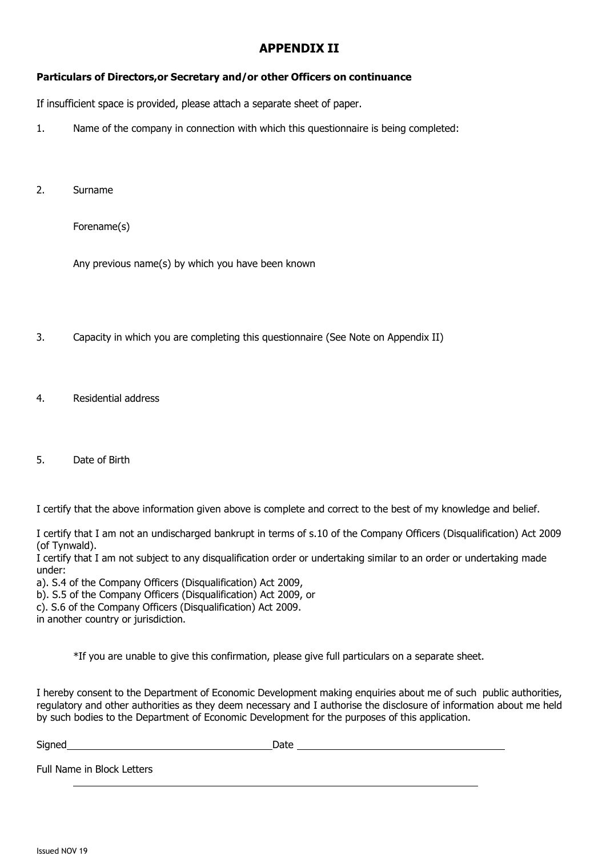#### **APPENDIX II**

#### **Particulars of Directors,or Secretary and/or other Officers on continuance**

If insufficient space is provided, please attach a separate sheet of paper.

- 1. Name of the company in connection with which this questionnaire is being completed:
- 2. Surname

Forename(s)

Any previous name(s) by which you have been known

- 3. Capacity in which you are completing this questionnaire (See Note on Appendix II)
- 4. Residential address
- 5. Date of Birth

I certify that the above information given above is complete and correct to the best of my knowledge and belief.

I certify that I am not an undischarged bankrupt in terms of s.10 of the Company Officers (Disqualification) Act 2009 (of Tynwald).

I certify that I am not subject to any disqualification order or undertaking similar to an order or undertaking made under:

a). S.4 of the Company Officers (Disqualification) Act 2009,

b). S.5 of the Company Officers (Disqualification) Act 2009, or

c). S.6 of the Company Officers (Disqualification) Act 2009.

in another country or jurisdiction.

\*If you are unable to give this confirmation, please give full particulars on a separate sheet.

I hereby consent to the Department of Economic Development making enquiries about me of such public authorities, regulatory and other authorities as they deem necessary and I authorise the disclosure of information about me held by such bodies to the Department of Economic Development for the purposes of this application.

| Signed                     | Date |
|----------------------------|------|
| Full Name in Block Letters |      |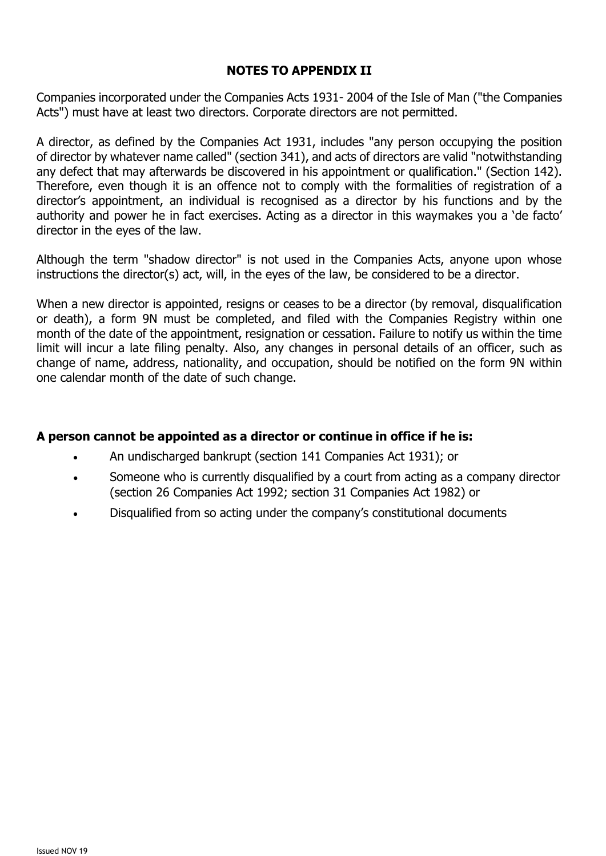## **NOTES TO APPENDIX II**

Companies incorporated under the Companies Acts 1931- 2004 of the Isle of Man ("the Companies Acts") must have at least two directors. Corporate directors are not permitted.

A director, as defined by the Companies Act 1931, includes "any person occupying the position of director by whatever name called" (section 341), and acts of directors are valid "notwithstanding any defect that may afterwards be discovered in his appointment or qualification." (Section 142). Therefore, even though it is an offence not to comply with the formalities of registration of a director's appointment, an individual is recognised as a director by his functions and by the authority and power he in fact exercises. Acting as a director in this waymakes you a 'de facto' director in the eyes of the law.

Although the term "shadow director" is not used in the Companies Acts, anyone upon whose instructions the director(s) act, will, in the eyes of the law, be considered to be a director.

When a new director is appointed, resigns or ceases to be a director (by removal, disqualification or death), a form 9N must be completed, and filed with the Companies Registry within one month of the date of the appointment, resignation or cessation. Failure to notify us within the time limit will incur a late filing penalty. Also, any changes in personal details of an officer, such as change of name, address, nationality, and occupation, should be notified on the form 9N within one calendar month of the date of such change.

#### **A person cannot be appointed as a director or continue in office if he is:**

- An undischarged bankrupt (section 141 Companies Act 1931); or
- Someone who is currently disqualified by a court from acting as a company director (section 26 Companies Act 1992; section 31 Companies Act 1982) or
- Disqualified from so acting under the company's constitutional documents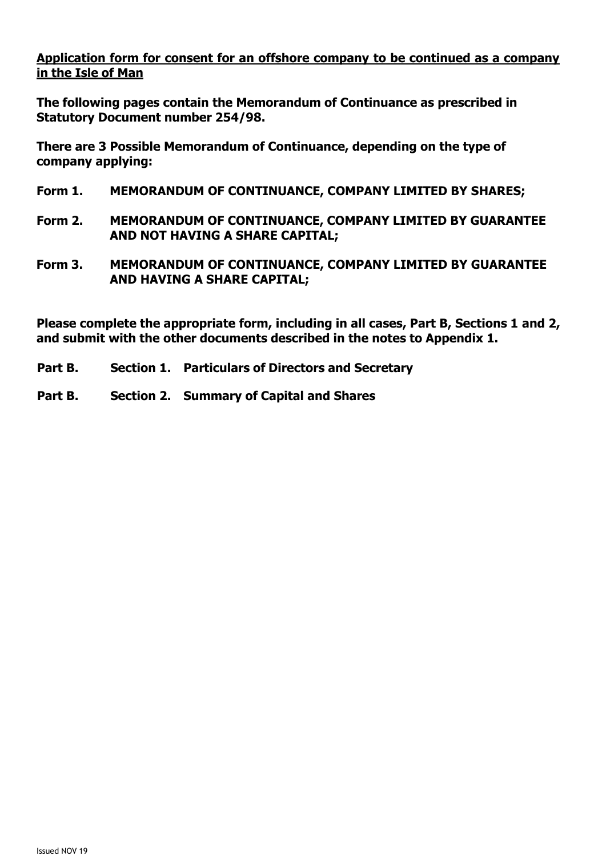## **Application form for consent for an offshore company to be continued as a company in the Isle of Man**

**The following pages contain the Memorandum of Continuance as prescribed in Statutory Document number 254/98.**

**There are 3 Possible Memorandum of Continuance, depending on the type of company applying:**

- **Form 1. MEMORANDUM OF CONTINUANCE, COMPANY LIMITED BY SHARES;**
- **Form 2. MEMORANDUM OF CONTINUANCE, COMPANY LIMITED BY GUARANTEE AND NOT HAVING A SHARE CAPITAL;**
- **Form 3. MEMORANDUM OF CONTINUANCE, COMPANY LIMITED BY GUARANTEE AND HAVING A SHARE CAPITAL;**

**Please complete the appropriate form, including in all cases, Part B, Sections 1 and 2, and submit with the other documents described in the notes to Appendix 1.**

- **Part B. Section 1. Particulars of Directors and Secretary**
- **Part B. Section 2. Summary of Capital and Shares**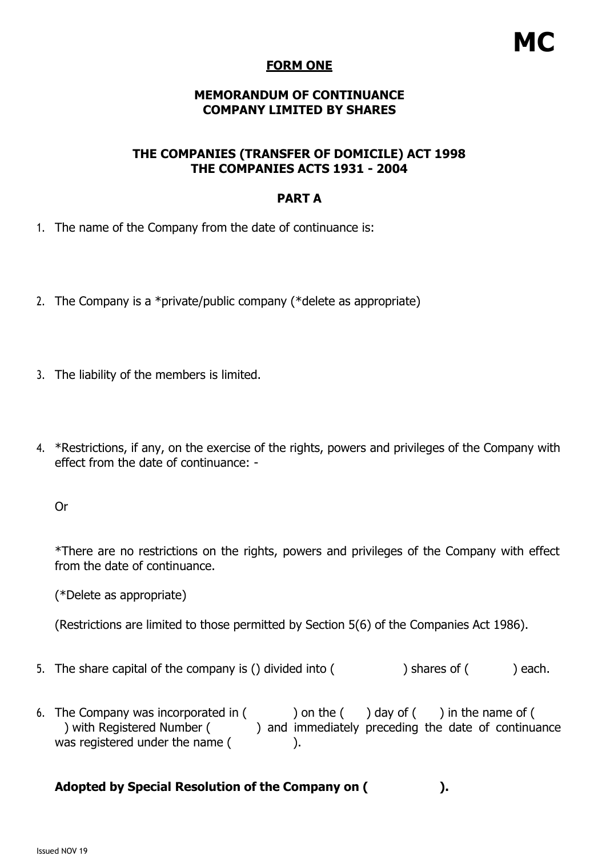# **MC**

#### **FORM ONE**

#### **MEMORANDUM OF CONTINUANCE COMPANY LIMITED BY SHARES**

#### **THE COMPANIES (TRANSFER OF DOMICILE) ACT 1998 THE COMPANIES ACTS 1931 - 2004**

#### **PART A**

- 1. The name of the Company from the date of continuance is:
- 2. The Company is a \*private/public company (\*delete as appropriate)
- 3. The liability of the members is limited.
- 4. \*Restrictions, if any, on the exercise of the rights, powers and privileges of the Company with effect from the date of continuance: -

Or

\*There are no restrictions on the rights, powers and privileges of the Company with effect from the date of continuance.

(\*Delete as appropriate)

(Restrictions are limited to those permitted by Section 5(6) of the Companies Act 1986).

- 5. The share capital of the company is () divided into  $($  ) shares of  $($  ) each.
- 6. The Company was incorporated in  $($  ) on the  $($  ) day of  $($  ) in the name of  $($ ) with Registered Number ( ) and immediately preceding the date of continuance was registered under the name ( ).

## **Adopted by Special Resolution of the Company on ( ).**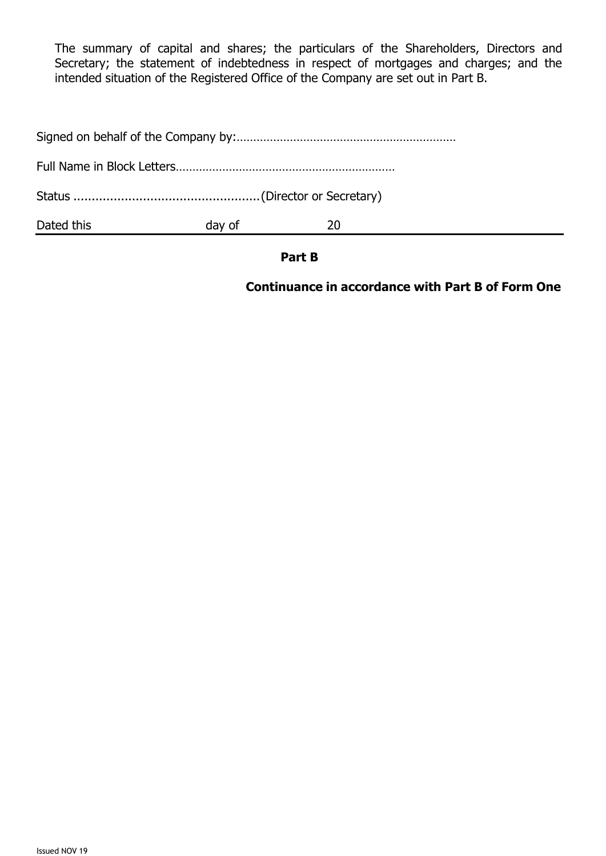The summary of capital and shares; the particulars of the Shareholders, Directors and Secretary; the statement of indebtedness in respect of mortgages and charges; and the intended situation of the Registered Office of the Company are set out in Part B.

| Dated this | day of | 20 |  |
|------------|--------|----|--|
|            |        |    |  |
|            |        |    |  |
|            |        |    |  |

#### **Part B**

## **Continuance in accordance with Part B of Form One**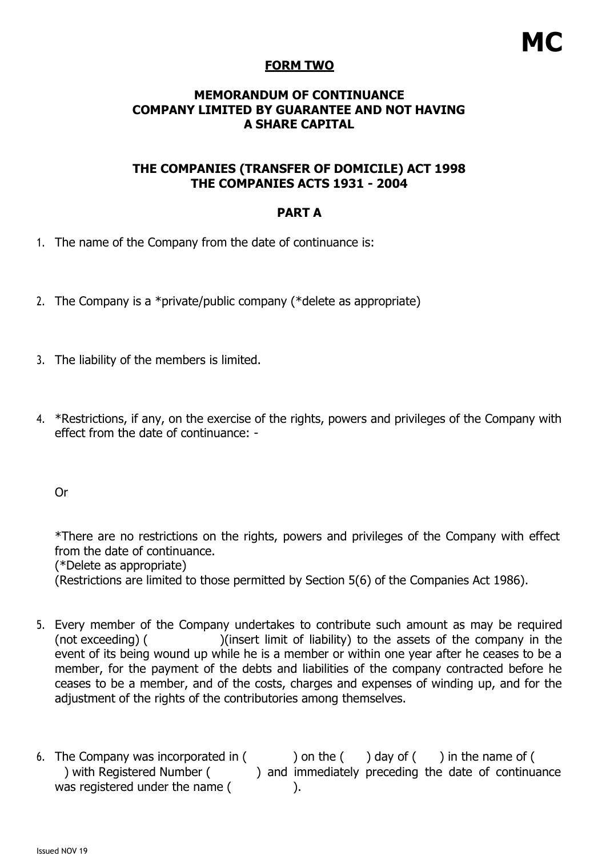## **FORM TWO**

### **MEMORANDUM OF CONTINUANCE COMPANY LIMITED BY GUARANTEE AND NOT HAVING A SHARE CAPITAL**

## **THE COMPANIES (TRANSFER OF DOMICILE) ACT 1998 THE COMPANIES ACTS 1931 - 2004**

## **PART A**

- 1. The name of the Company from the date of continuance is:
- 2. The Company is a \*private/public company (\*delete as appropriate)
- 3. The liability of the members is limited.
- 4. \*Restrictions, if any, on the exercise of the rights, powers and privileges of the Company with effect from the date of continuance: -

Or

\*There are no restrictions on the rights, powers and privileges of the Company with effect from the date of continuance. (\*Delete as appropriate)

(Restrictions are limited to those permitted by Section 5(6) of the Companies Act 1986).

- 5. Every member of the Company undertakes to contribute such amount as may be required (not exceeding) ( )(insert limit of liability) to the assets of the company in the event of its being wound up while he is a member or within one year after he ceases to be a member, for the payment of the debts and liabilities of the company contracted before he ceases to be a member, and of the costs, charges and expenses of winding up, and for the adjustment of the rights of the contributories among themselves.
- 6. The Company was incorporated in  $($  ) on the  $($  ) day of  $($  ) in the name of  $($ ) with Registered Number ( ) and immediately preceding the date of continuance was registered under the name (
).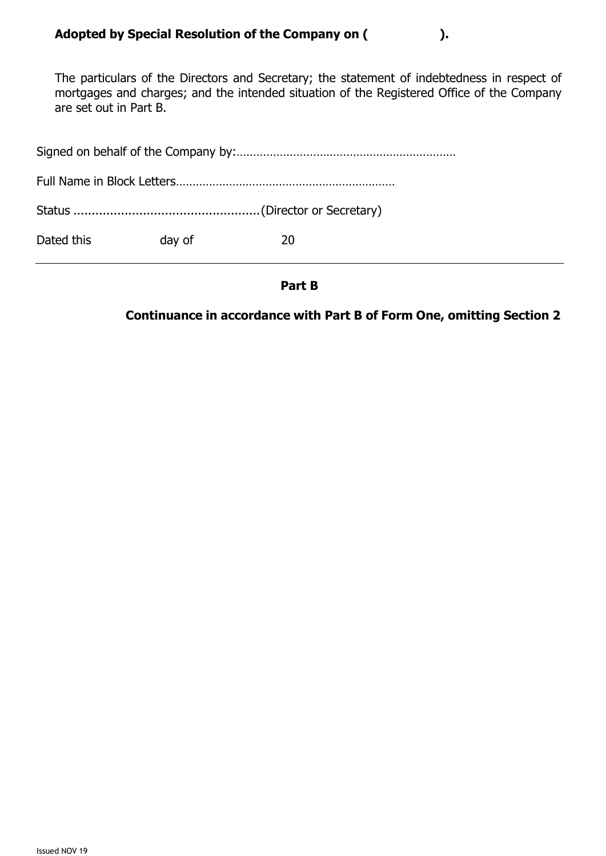The particulars of the Directors and Secretary; the statement of indebtedness in respect of mortgages and charges; and the intended situation of the Registered Office of the Company are set out in Part B.

| Dated this | day of | 20 |
|------------|--------|----|

#### **Part B**

## **Continuance in accordance with Part B of Form One, omitting Section 2**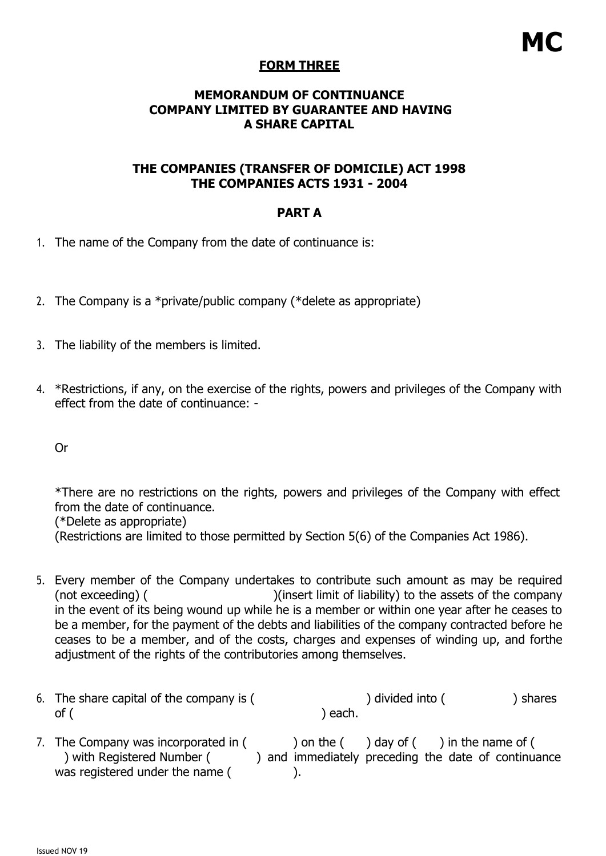## **FORM THREE**

### **MEMORANDUM OF CONTINUANCE COMPANY LIMITED BY GUARANTEE AND HAVING A SHARE CAPITAL**

## **THE COMPANIES (TRANSFER OF DOMICILE) ACT 1998 THE COMPANIES ACTS 1931 - 2004**

### **PART A**

- 1. The name of the Company from the date of continuance is:
- 2. The Company is a \*private/public company (\*delete as appropriate)
- 3. The liability of the members is limited.
- 4. \*Restrictions, if any, on the exercise of the rights, powers and privileges of the Company with effect from the date of continuance: -

Or

\*There are no restrictions on the rights, powers and privileges of the Company with effect from the date of continuance.

(\*Delete as appropriate)

(Restrictions are limited to those permitted by Section 5(6) of the Companies Act 1986).

- 5. Every member of the Company undertakes to contribute such amount as may be required (not exceeding) ( ) (insert limit of liability) to the assets of the company in the event of its being wound up while he is a member or within one year after he ceases to be a member, for the payment of the debts and liabilities of the company contracted before he ceases to be a member, and of the costs, charges and expenses of winding up, and forthe adjustment of the rights of the contributories among themselves.
- 6. The share capital of the company is (  $\qquad \qquad$ ) divided into (
) shares of (
and  $\alpha$ ) each.
- 7. The Company was incorporated in  $($   $)$  on the  $($   $)$  day of  $($   $)$  in the name of  $($ ) with Registered Number ( ) and immediately preceding the date of continuance was registered under the name (
).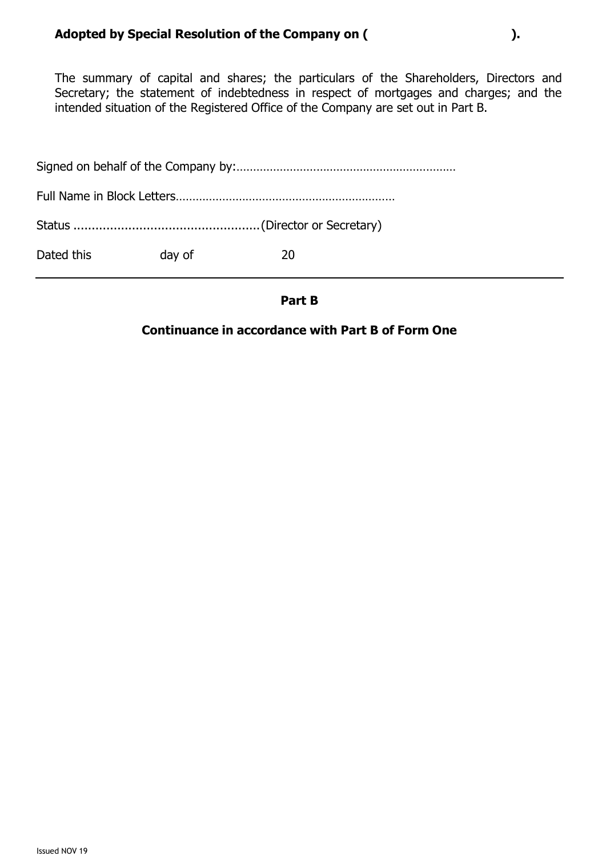The summary of capital and shares; the particulars of the Shareholders, Directors and Secretary; the statement of indebtedness in respect of mortgages and charges; and the intended situation of the Registered Office of the Company are set out in Part B.

| Dated this | day of | 20 |
|------------|--------|----|

**Part B**

## **Continuance in accordance with Part B of Form One**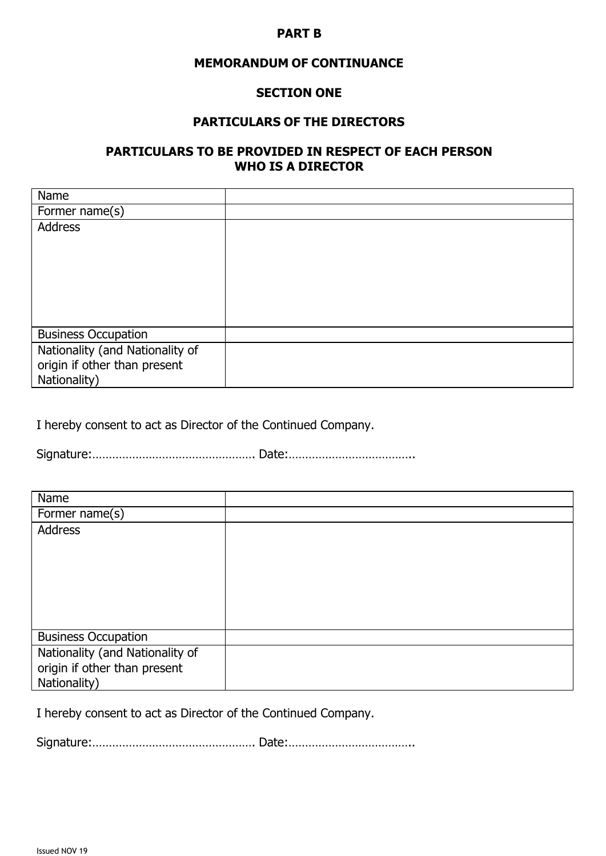#### **PART B**

#### **MEMORANDUM OF CONTINUANCE**

#### **SECTION ONE**

#### **PARTICULARS OF THE DIRECTORS**

#### **PARTICULARS TO BE PROVIDED IN RESPECT OF EACH PERSON WHO IS A DIRECTOR**

| Name                            |  |
|---------------------------------|--|
| Former name(s)                  |  |
| <b>Address</b>                  |  |
|                                 |  |
|                                 |  |
|                                 |  |
|                                 |  |
|                                 |  |
|                                 |  |
| <b>Business Occupation</b>      |  |
| Nationality (and Nationality of |  |
| origin if other than present    |  |
| Nationality)                    |  |

I hereby consent to act as Director of the Continued Company.

Signature:…………………………………………. Date:………………………………..

| Name                            |  |
|---------------------------------|--|
| Former name(s)                  |  |
| <b>Address</b>                  |  |
|                                 |  |
|                                 |  |
|                                 |  |
|                                 |  |
|                                 |  |
|                                 |  |
| <b>Business Occupation</b>      |  |
| Nationality (and Nationality of |  |
| origin if other than present    |  |
| Nationality)                    |  |

I hereby consent to act as Director of the Continued Company.

Signature:…………………………………………. Date:………………………………..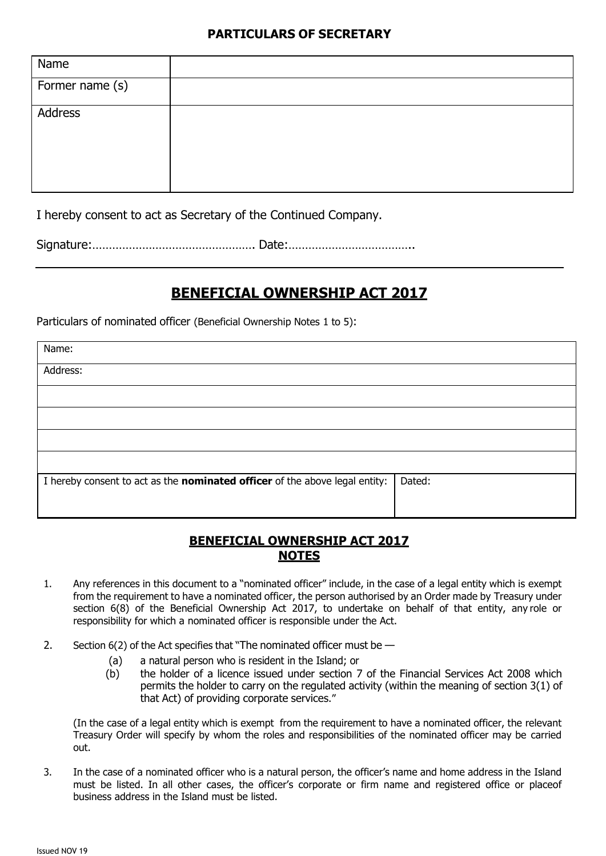#### **PARTICULARS OF SECRETARY**

| Name            |  |
|-----------------|--|
| Former name (s) |  |
| Address         |  |

I hereby consent to act as Secretary of the Continued Company.

Signature:…………………………………………. Date:………………………………..

## **BENEFICIAL OWNERSHIP ACT 2017**

Particulars of nominated officer (Beneficial Ownership Notes 1 to 5):

| Name:                                                                              |        |
|------------------------------------------------------------------------------------|--------|
| Address:                                                                           |        |
|                                                                                    |        |
|                                                                                    |        |
|                                                                                    |        |
|                                                                                    |        |
| I hereby consent to act as the <b>nominated officer</b> of the above legal entity: | Dated: |
|                                                                                    |        |

## **BENEFICIAL OWNERSHIP ACT 2017 NOTES**

- 1. Any references in this document to a "nominated officer" include, in the case of a legal entity which is exempt from the requirement to have a nominated officer, the person authorised by an Order made by Treasury under section 6(8) of the Beneficial Ownership Act 2017, to undertake on behalf of that entity, any role or responsibility for which a nominated officer is responsible under the Act.
- 2. Section 6(2) of the Act specifies that "The nominated officer must be -
	- (a) a natural person who is resident in the Island; or
	- (b) the holder of a licence issued under section 7 of the Financial Services Act 2008 which permits the holder to carry on the regulated activity (within the meaning of section 3(1) of that Act) of providing corporate services."

(In the case of a legal entity which is exempt from the requirement to have a nominated officer, the relevant Treasury Order will specify by whom the roles and responsibilities of the nominated officer may be carried out.

3. In the case of a nominated officer who is a natural person, the officer's name and home address in the Island must be listed. In all other cases, the officer's corporate or firm name and registered office or placeof business address in the Island must be listed.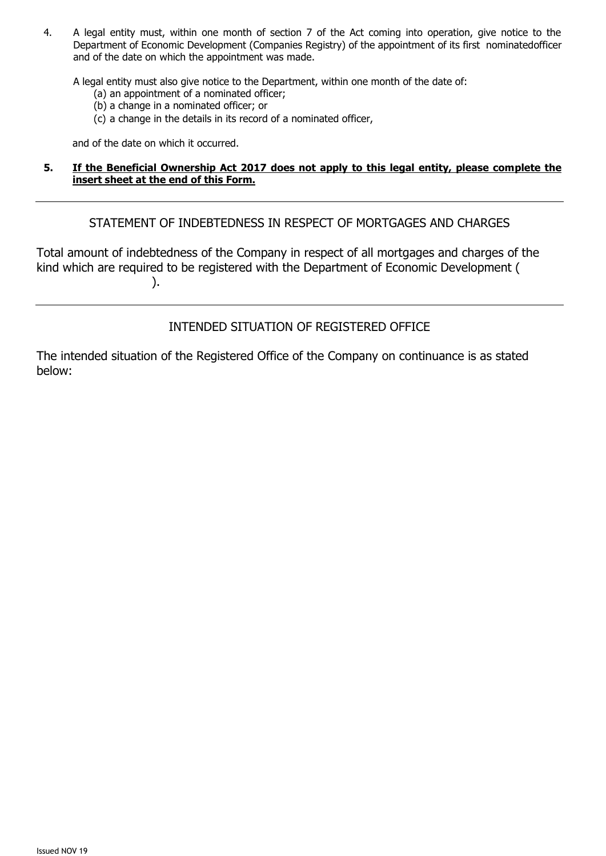4. A legal entity must, within one month of section 7 of the Act coming into operation, give notice to the Department of Economic Development (Companies Registry) of the appointment of its first nominatedofficer and of the date on which the appointment was made.

A legal entity must also give notice to the Department, within one month of the date of:

- (a) an appointment of a nominated officer;
- (b) a change in a nominated officer; or
- (c) a change in the details in its record of a nominated officer,

and of the date on which it occurred.

#### **5. If the Beneficial Ownership Act 2017 does not apply to this legal entity, please complete the insert sheet at the end of this Form.**

STATEMENT OF INDEBTEDNESS IN RESPECT OF MORTGAGES AND CHARGES

Total amount of indebtedness of the Company in respect of all mortgages and charges of the kind which are required to be registered with the Department of Economic Development ( ).

INTENDED SITUATION OF REGISTERED OFFICE

The intended situation of the Registered Office of the Company on continuance is as stated below: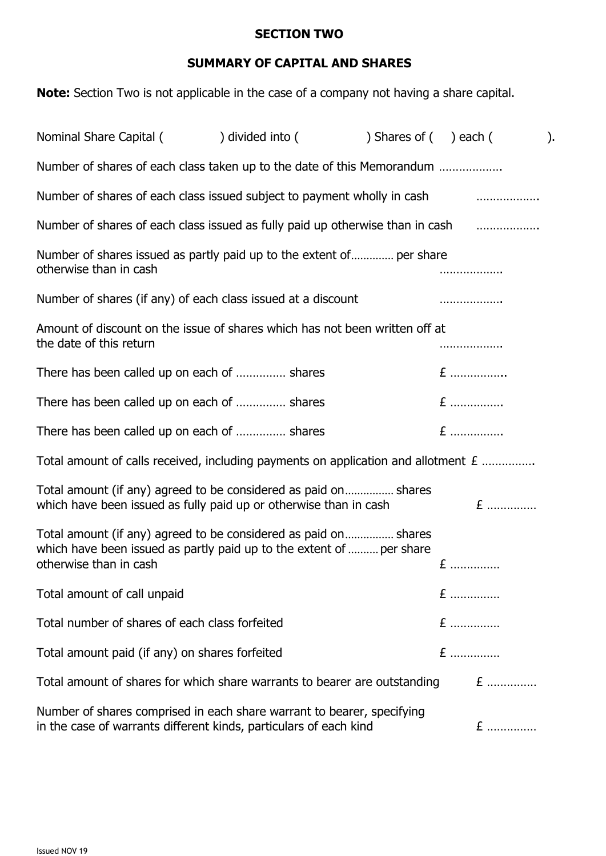#### **SECTION TWO**

## **SUMMARY OF CAPITAL AND SHARES**

**Note:** Section Two is not applicable in the case of a company not having a share capital.

| Nominal Share Capital (                                                                                                                                           | ) divided into ( | ) Shares of ( ) each ( |     | $\mathcal{L}$ |  |
|-------------------------------------------------------------------------------------------------------------------------------------------------------------------|------------------|------------------------|-----|---------------|--|
| Number of shares of each class taken up to the date of this Memorandum                                                                                            |                  |                        |     |               |  |
| Number of shares of each class issued subject to payment wholly in cash                                                                                           |                  |                        |     | .             |  |
| Number of shares of each class issued as fully paid up otherwise than in cash <i>mused</i> in the state of each data is                                           |                  |                        |     |               |  |
| Number of shares issued as partly paid up to the extent of per share<br>otherwise than in cash                                                                    |                  |                        | .   |               |  |
| Number of shares (if any) of each class issued at a discount                                                                                                      |                  |                        | .   |               |  |
| Amount of discount on the issue of shares which has not been written off at<br>the date of this return                                                            |                  |                        |     |               |  |
| There has been called up on each of  shares                                                                                                                       |                  |                        | $E$ |               |  |
| There has been called up on each of  shares                                                                                                                       |                  |                        | $E$ |               |  |
| There has been called up on each of  shares                                                                                                                       |                  |                        | $E$ |               |  |
| Total amount of calls received, including payments on application and allotment $E$                                                                               |                  |                        |     |               |  |
| Total amount (if any) agreed to be considered as paid on shares<br>which have been issued as fully paid up or otherwise than in cash                              |                  |                        |     | $E$           |  |
| Total amount (if any) agreed to be considered as paid on shares<br>which have been issued as partly paid up to the extent of  per share<br>otherwise than in cash |                  |                        | $E$ |               |  |
| Total amount of call unpaid                                                                                                                                       |                  |                        | $E$ |               |  |
| Total number of shares of each class forfeited                                                                                                                    |                  |                        | $E$ |               |  |
| Total amount paid (if any) on shares forfeited                                                                                                                    |                  |                        | $E$ |               |  |
| Total amount of shares for which share warrants to bearer are outstanding                                                                                         |                  |                        |     | $E$           |  |
| Number of shares comprised in each share warrant to bearer, specifying<br>in the case of warrants different kinds, particulars of each kind                       |                  |                        |     | $E$           |  |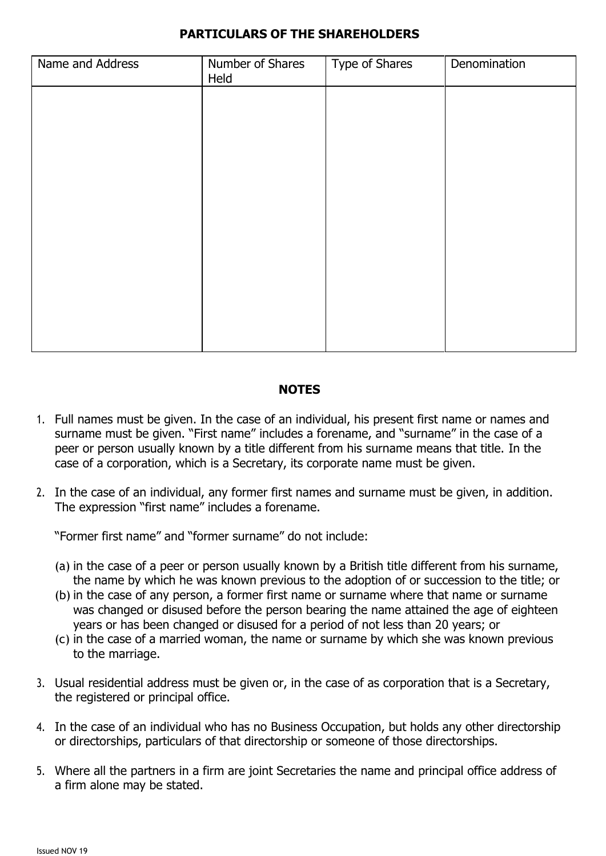### **PARTICULARS OF THE SHAREHOLDERS**

| Name and Address | Number of Shares<br>Held | Type of Shares | Denomination |
|------------------|--------------------------|----------------|--------------|
|                  |                          |                |              |
|                  |                          |                |              |
|                  |                          |                |              |
|                  |                          |                |              |
|                  |                          |                |              |
|                  |                          |                |              |
|                  |                          |                |              |
|                  |                          |                |              |
|                  |                          |                |              |

#### **NOTES**

- 1. Full names must be given. In the case of an individual, his present first name or names and surname must be given. "First name" includes a forename, and "surname" in the case of a peer or person usually known by a title different from his surname means that title. In the case of a corporation, which is a Secretary, its corporate name must be given.
- 2. In the case of an individual, any former first names and surname must be given, in addition. The expression "first name" includes a forename.

"Former first name" and "former surname" do not include:

- (a) in the case of a peer or person usually known by a British title different from his surname, the name by which he was known previous to the adoption of or succession to the title; or
- (b) in the case of any person, a former first name or surname where that name or surname was changed or disused before the person bearing the name attained the age of eighteen years or has been changed or disused for a period of not less than 20 years; or
- (c) in the case of a married woman, the name or surname by which she was known previous to the marriage.
- 3. Usual residential address must be given or, in the case of as corporation that is a Secretary, the registered or principal office.
- 4. In the case of an individual who has no Business Occupation, but holds any other directorship or directorships, particulars of that directorship or someone of those directorships.
- 5. Where all the partners in a firm are joint Secretaries the name and principal office address of a firm alone may be stated.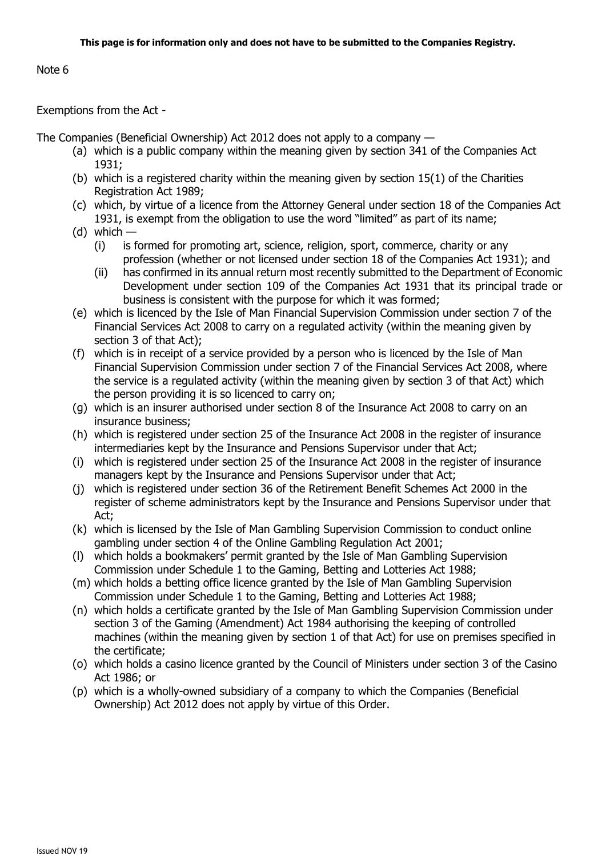#### Note 6

#### Exemptions from the Act -

The Companies (Beneficial Ownership) Act 2012 does not apply to a company —

- (a) which is a public company within the meaning given by section 341 of the Companies Act 1931;
- (b) which is a registered charity within the meaning given by section  $15(1)$  of the Charities Registration Act 1989;
- (c) which, by virtue of a licence from the Attorney General under section 18 of the Companies Act 1931, is exempt from the obligation to use the word "limited" as part of its name;
- $(d)$  which
	- (i) is formed for promoting art, science, religion, sport, commerce, charity or any profession (whether or not licensed under section 18 of the Companies Act 1931); and
	- (ii) has confirmed in its annual return most recently submitted to the Department of Economic Development under section 109 of the Companies Act 1931 that its principal trade or business is consistent with the purpose for which it was formed;
- (e) which is licenced by the Isle of Man Financial Supervision Commission under section 7 of the Financial Services Act 2008 to carry on a regulated activity (within the meaning given by section 3 of that Act);
- (f) which is in receipt of a service provided by a person who is licenced by the Isle of Man Financial Supervision Commission under section 7 of the Financial Services Act 2008, where the service is a regulated activity (within the meaning given by section 3 of that Act) which the person providing it is so licenced to carry on;
- (g) which is an insurer authorised under section 8 of the Insurance Act 2008 to carry on an insurance business;
- (h) which is registered under section 25 of the Insurance Act 2008 in the register of insurance intermediaries kept by the Insurance and Pensions Supervisor under that Act;
- (i) which is registered under section 25 of the Insurance Act 2008 in the register of insurance managers kept by the Insurance and Pensions Supervisor under that Act;
- (j) which is registered under section 36 of the Retirement Benefit Schemes Act 2000 in the register of scheme administrators kept by the Insurance and Pensions Supervisor under that Act;
- (k) which is licensed by the Isle of Man Gambling Supervision Commission to conduct online gambling under section 4 of the Online Gambling Regulation Act 2001;
- (l) which holds a bookmakers' permit granted by the Isle of Man Gambling Supervision Commission under Schedule 1 to the Gaming, Betting and Lotteries Act 1988;
- (m) which holds a betting office licence granted by the Isle of Man Gambling Supervision Commission under Schedule 1 to the Gaming, Betting and Lotteries Act 1988;
- (n) which holds a certificate granted by the Isle of Man Gambling Supervision Commission under section 3 of the Gaming (Amendment) Act 1984 authorising the keeping of controlled machines (within the meaning given by section 1 of that Act) for use on premises specified in the certificate;
- (o) which holds a casino licence granted by the Council of Ministers under section 3 of the Casino Act 1986; or
- (p) which is a wholly-owned subsidiary of a company to which the Companies (Beneficial Ownership) Act 2012 does not apply by virtue of this Order.